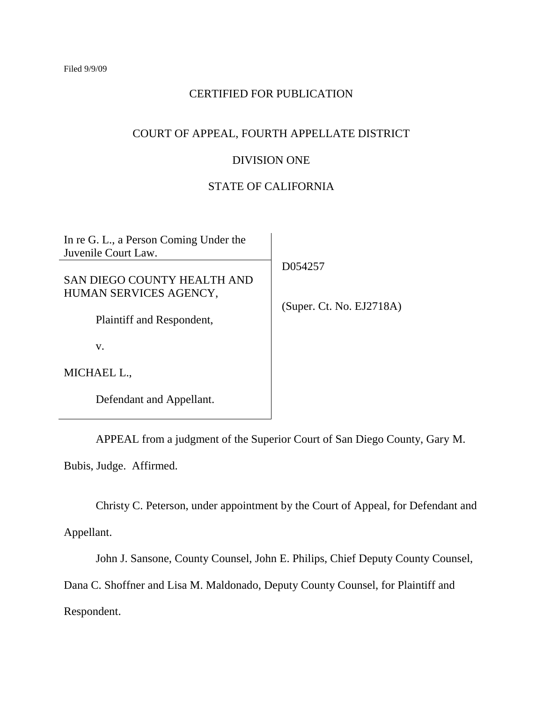# CERTIFIED FOR PUBLICATION

# COURT OF APPEAL, FOURTH APPELLATE DISTRICT

# DIVISION ONE

# STATE OF CALIFORNIA

| In re G. L., a Person Coming Under the<br>Juvenile Court Law. |                          |
|---------------------------------------------------------------|--------------------------|
| <b>SAN DIEGO COUNTY HEALTH AND</b><br>HUMAN SERVICES AGENCY,  | D054257                  |
| Plaintiff and Respondent,                                     | (Super. Ct. No. EJ2718A) |
| V.                                                            |                          |
| MICHAEL L.,                                                   |                          |
| Defendant and Appellant.                                      |                          |

APPEAL from a judgment of the Superior Court of San Diego County, Gary M. Bubis, Judge. Affirmed.

Christy C. Peterson, under appointment by the Court of Appeal, for Defendant and Appellant.

John J. Sansone, County Counsel, John E. Philips, Chief Deputy County Counsel,

Dana C. Shoffner and Lisa M. Maldonado, Deputy County Counsel, for Plaintiff and

Respondent.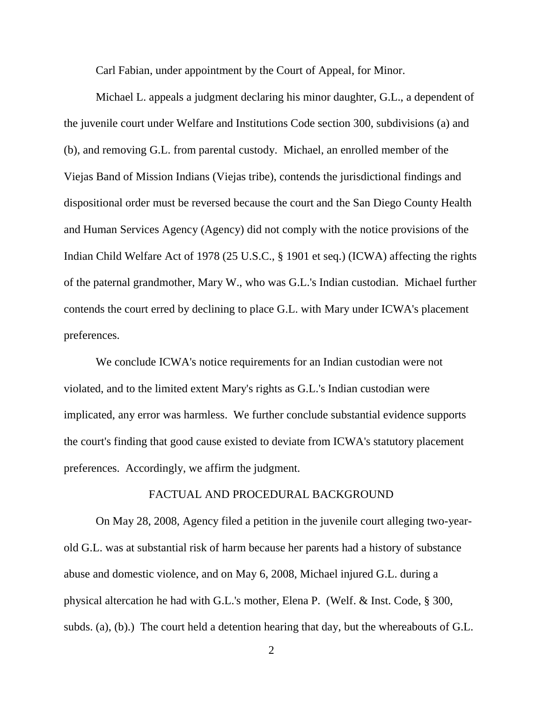Carl Fabian, under appointment by the Court of Appeal, for Minor.

Michael L. appeals a judgment declaring his minor daughter, G.L., a dependent of the juvenile court under Welfare and Institutions Code section 300, subdivisions (a) and (b), and removing G.L. from parental custody. Michael, an enrolled member of the Viejas Band of Mission Indians (Viejas tribe), contends the jurisdictional findings and dispositional order must be reversed because the court and the San Diego County Health and Human Services Agency (Agency) did not comply with the notice provisions of the Indian Child Welfare Act of 1978 (25 U.S.C., § 1901 et seq.) (ICWA) affecting the rights of the paternal grandmother, Mary W., who was G.L.'s Indian custodian. Michael further contends the court erred by declining to place G.L. with Mary under ICWA's placement preferences.

We conclude ICWA's notice requirements for an Indian custodian were not violated, and to the limited extent Mary's rights as G.L.'s Indian custodian were implicated, any error was harmless. We further conclude substantial evidence supports the court's finding that good cause existed to deviate from ICWA's statutory placement preferences. Accordingly, we affirm the judgment.

### FACTUAL AND PROCEDURAL BACKGROUND

On May 28, 2008, Agency filed a petition in the juvenile court alleging two-yearold G.L. was at substantial risk of harm because her parents had a history of substance abuse and domestic violence, and on May 6, 2008, Michael injured G.L. during a physical altercation he had with G.L.'s mother, Elena P. (Welf. & Inst. Code, § 300, subds. (a), (b).) The court held a detention hearing that day, but the whereabouts of G.L.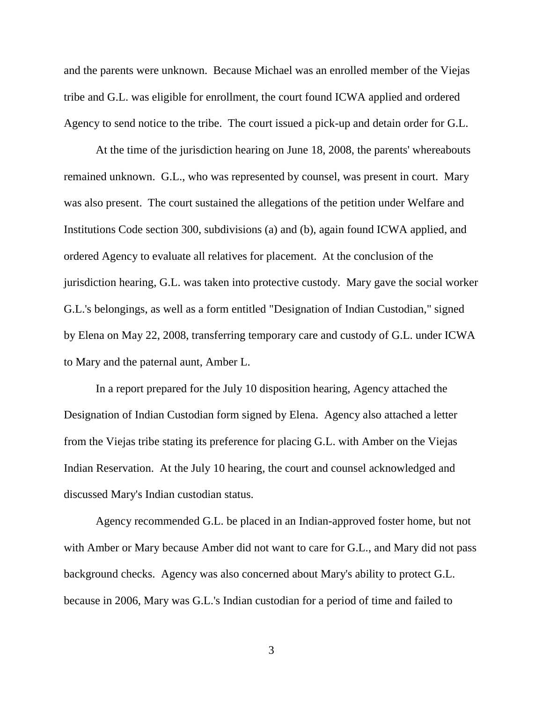and the parents were unknown. Because Michael was an enrolled member of the Viejas tribe and G.L. was eligible for enrollment, the court found ICWA applied and ordered Agency to send notice to the tribe. The court issued a pick-up and detain order for G.L.

At the time of the jurisdiction hearing on June 18, 2008, the parents' whereabouts remained unknown. G.L., who was represented by counsel, was present in court. Mary was also present. The court sustained the allegations of the petition under Welfare and Institutions Code section 300, subdivisions (a) and (b), again found ICWA applied, and ordered Agency to evaluate all relatives for placement. At the conclusion of the jurisdiction hearing, G.L. was taken into protective custody. Mary gave the social worker G.L.'s belongings, as well as a form entitled "Designation of Indian Custodian," signed by Elena on May 22, 2008, transferring temporary care and custody of G.L. under ICWA to Mary and the paternal aunt, Amber L.

In a report prepared for the July 10 disposition hearing, Agency attached the Designation of Indian Custodian form signed by Elena. Agency also attached a letter from the Viejas tribe stating its preference for placing G.L. with Amber on the Viejas Indian Reservation. At the July 10 hearing, the court and counsel acknowledged and discussed Mary's Indian custodian status.

Agency recommended G.L. be placed in an Indian-approved foster home, but not with Amber or Mary because Amber did not want to care for G.L., and Mary did not pass background checks. Agency was also concerned about Mary's ability to protect G.L. because in 2006, Mary was G.L.'s Indian custodian for a period of time and failed to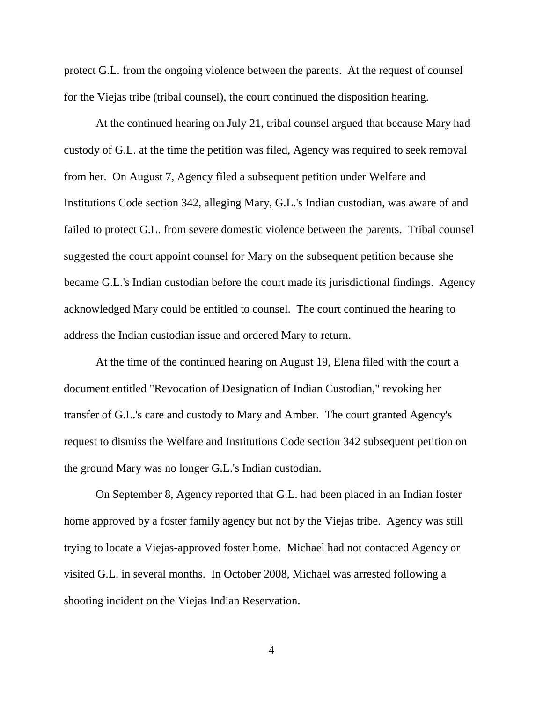protect G.L. from the ongoing violence between the parents. At the request of counsel for the Viejas tribe (tribal counsel), the court continued the disposition hearing.

At the continued hearing on July 21, tribal counsel argued that because Mary had custody of G.L. at the time the petition was filed, Agency was required to seek removal from her. On August 7, Agency filed a subsequent petition under Welfare and Institutions Code section 342, alleging Mary, G.L.'s Indian custodian, was aware of and failed to protect G.L. from severe domestic violence between the parents. Tribal counsel suggested the court appoint counsel for Mary on the subsequent petition because she became G.L.'s Indian custodian before the court made its jurisdictional findings. Agency acknowledged Mary could be entitled to counsel. The court continued the hearing to address the Indian custodian issue and ordered Mary to return.

At the time of the continued hearing on August 19, Elena filed with the court a document entitled "Revocation of Designation of Indian Custodian," revoking her transfer of G.L.'s care and custody to Mary and Amber. The court granted Agency's request to dismiss the Welfare and Institutions Code section 342 subsequent petition on the ground Mary was no longer G.L.'s Indian custodian.

On September 8, Agency reported that G.L. had been placed in an Indian foster home approved by a foster family agency but not by the Viejas tribe. Agency was still trying to locate a Viejas-approved foster home. Michael had not contacted Agency or visited G.L. in several months. In October 2008, Michael was arrested following a shooting incident on the Viejas Indian Reservation.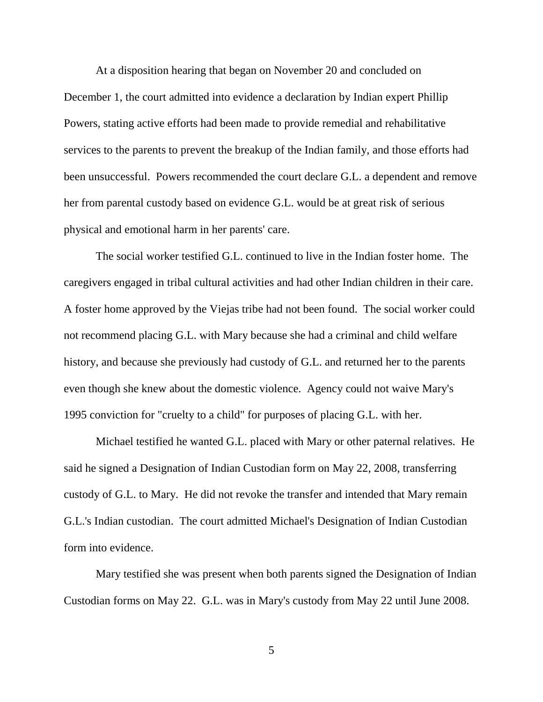At a disposition hearing that began on November 20 and concluded on December 1, the court admitted into evidence a declaration by Indian expert Phillip Powers, stating active efforts had been made to provide remedial and rehabilitative services to the parents to prevent the breakup of the Indian family, and those efforts had been unsuccessful. Powers recommended the court declare G.L. a dependent and remove her from parental custody based on evidence G.L. would be at great risk of serious physical and emotional harm in her parents' care.

The social worker testified G.L. continued to live in the Indian foster home. The caregivers engaged in tribal cultural activities and had other Indian children in their care. A foster home approved by the Viejas tribe had not been found. The social worker could not recommend placing G.L. with Mary because she had a criminal and child welfare history, and because she previously had custody of G.L. and returned her to the parents even though she knew about the domestic violence. Agency could not waive Mary's 1995 conviction for "cruelty to a child" for purposes of placing G.L. with her.

Michael testified he wanted G.L. placed with Mary or other paternal relatives. He said he signed a Designation of Indian Custodian form on May 22, 2008, transferring custody of G.L. to Mary. He did not revoke the transfer and intended that Mary remain G.L.'s Indian custodian. The court admitted Michael's Designation of Indian Custodian form into evidence.

Mary testified she was present when both parents signed the Designation of Indian Custodian forms on May 22. G.L. was in Mary's custody from May 22 until June 2008.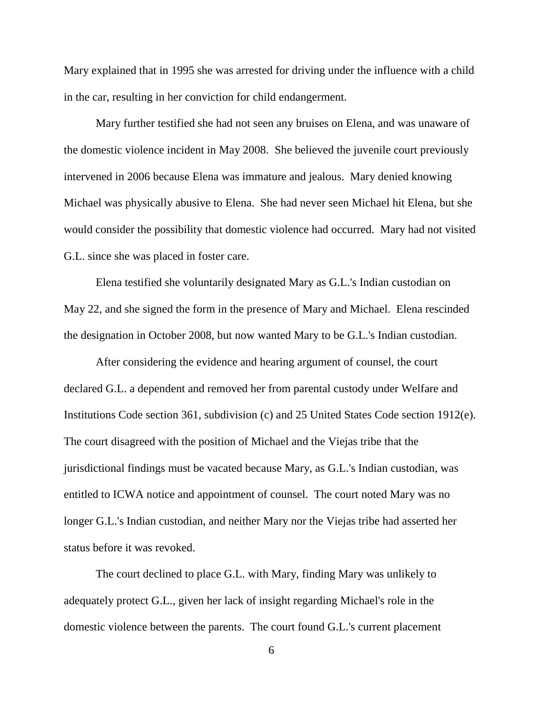Mary explained that in 1995 she was arrested for driving under the influence with a child in the car, resulting in her conviction for child endangerment.

Mary further testified she had not seen any bruises on Elena, and was unaware of the domestic violence incident in May 2008. She believed the juvenile court previously intervened in 2006 because Elena was immature and jealous. Mary denied knowing Michael was physically abusive to Elena. She had never seen Michael hit Elena, but she would consider the possibility that domestic violence had occurred. Mary had not visited G.L. since she was placed in foster care.

Elena testified she voluntarily designated Mary as G.L.'s Indian custodian on May 22, and she signed the form in the presence of Mary and Michael. Elena rescinded the designation in October 2008, but now wanted Mary to be G.L.'s Indian custodian.

After considering the evidence and hearing argument of counsel, the court declared G.L. a dependent and removed her from parental custody under Welfare and Institutions Code section 361, subdivision (c) and 25 United States Code section 1912(e). The court disagreed with the position of Michael and the Viejas tribe that the jurisdictional findings must be vacated because Mary, as G.L.'s Indian custodian, was entitled to ICWA notice and appointment of counsel. The court noted Mary was no longer G.L.'s Indian custodian, and neither Mary nor the Viejas tribe had asserted her status before it was revoked.

The court declined to place G.L. with Mary, finding Mary was unlikely to adequately protect G.L., given her lack of insight regarding Michael's role in the domestic violence between the parents. The court found G.L.'s current placement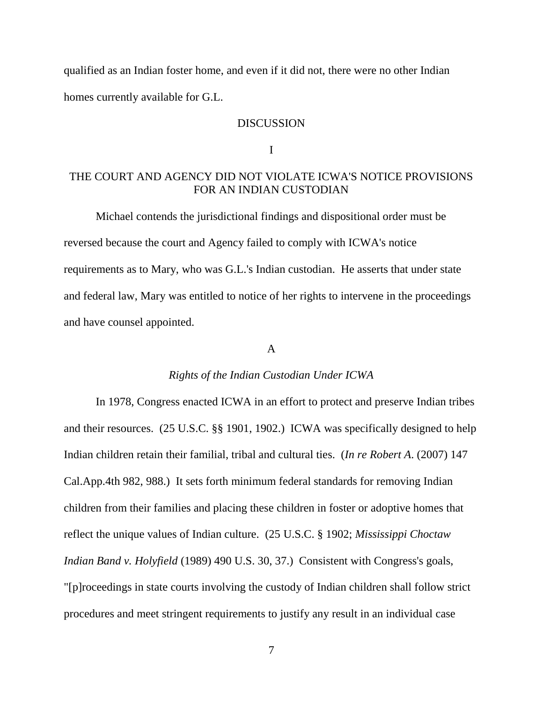qualified as an Indian foster home, and even if it did not, there were no other Indian homes currently available for G.L.

### **DISCUSSION**

I

# THE COURT AND AGENCY DID NOT VIOLATE ICWA'S NOTICE PROVISIONS FOR AN INDIAN CUSTODIAN

Michael contends the jurisdictional findings and dispositional order must be reversed because the court and Agency failed to comply with ICWA's notice requirements as to Mary, who was G.L.'s Indian custodian. He asserts that under state and federal law, Mary was entitled to notice of her rights to intervene in the proceedings and have counsel appointed.

# A

# *Rights of the Indian Custodian Under ICWA*

In 1978, Congress enacted ICWA in an effort to protect and preserve Indian tribes and their resources. (25 U.S.C. §§ 1901, 1902.) ICWA was specifically designed to help Indian children retain their familial, tribal and cultural ties. (*In re Robert A*. (2007) 147 Cal.App.4th 982, 988.) It sets forth minimum federal standards for removing Indian children from their families and placing these children in foster or adoptive homes that reflect the unique values of Indian culture. (25 U.S.C. § 1902; *Mississippi Choctaw Indian Band v. Holyfield* (1989) 490 U.S. 30, 37.) Consistent with Congress's goals, "[p]roceedings in state courts involving the custody of Indian children shall follow strict procedures and meet stringent requirements to justify any result in an individual case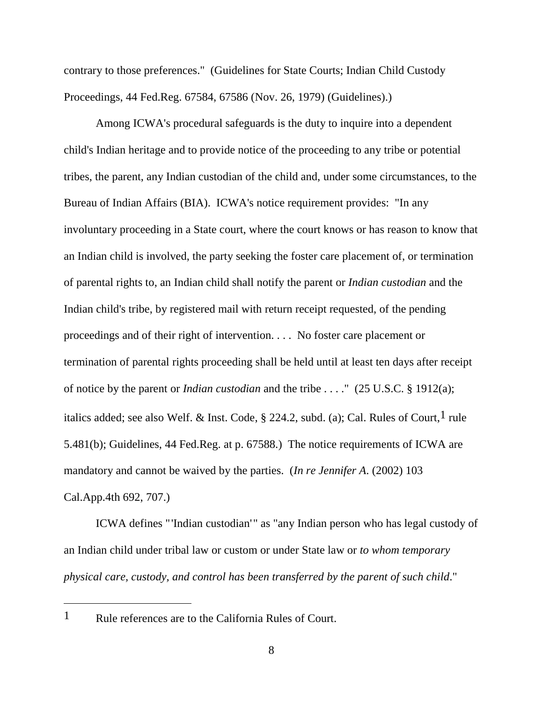contrary to those preferences." (Guidelines for State Courts; Indian Child Custody Proceedings, 44 Fed.Reg. 67584, 67586 (Nov. 26, 1979) (Guidelines).)

Among ICWA's procedural safeguards is the duty to inquire into a dependent child's Indian heritage and to provide notice of the proceeding to any tribe or potential tribes, the parent, any Indian custodian of the child and, under some circumstances, to the Bureau of Indian Affairs (BIA). ICWA's notice requirement provides: "In any involuntary proceeding in a State court, where the court knows or has reason to know that an Indian child is involved, the party seeking the foster care placement of, or termination of parental rights to, an Indian child shall notify the parent or *Indian custodian* and the Indian child's tribe, by registered mail with return receipt requested, of the pending proceedings and of their right of intervention. . . . No foster care placement or termination of parental rights proceeding shall be held until at least ten days after receipt of notice by the parent or *Indian custodian* and the tribe . . . ." (25 U.S.C. § 1912(a); italics added; see also Welf. & Inst. Code, § 224.2, subd. (a); Cal. Rules of Court, <sup>1</sup> rule 5.481(b); Guidelines, 44 Fed.Reg. at p. 67588.) The notice requirements of ICWA are mandatory and cannot be waived by the parties. (*In re Jennifer A*. (2002) 103 Cal.App.4th 692, 707.)

ICWA defines "'Indian custodian'" as "any Indian person who has legal custody of an Indian child under tribal law or custom or under State law or *to whom temporary physical care, custody, and control has been transferred by the parent of such child*."

1 Rule references are to the California Rules of Court.

 $\overline{a}$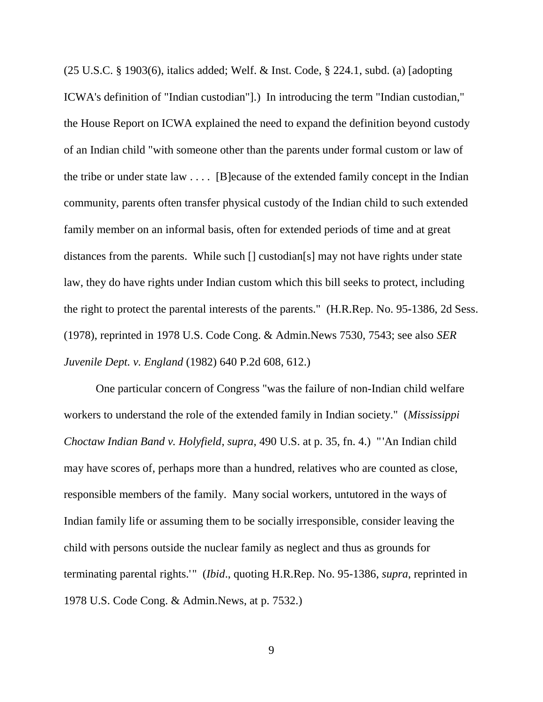(25 U.S.C. § 1903(6), italics added; Welf. & Inst. Code, § 224.1, subd. (a) [adopting ICWA's definition of "Indian custodian"].) In introducing the term "Indian custodian," the House Report on ICWA explained the need to expand the definition beyond custody of an Indian child "with someone other than the parents under formal custom or law of the tribe or under state law . . . . [B]ecause of the extended family concept in the Indian community, parents often transfer physical custody of the Indian child to such extended family member on an informal basis, often for extended periods of time and at great distances from the parents. While such [] custodian[s] may not have rights under state law, they do have rights under Indian custom which this bill seeks to protect, including the right to protect the parental interests of the parents." (H.R.Rep. No. 95-1386, 2d Sess. (1978), reprinted in 1978 U.S. Code Cong. & Admin.News 7530, 7543; see also *SER Juvenile Dept. v. England* (1982) 640 P.2d 608, 612.)

One particular concern of Congress "was the failure of non-Indian child welfare workers to understand the role of the extended family in Indian society." (*Mississippi Choctaw Indian Band v. Holyfield*, *supra*, 490 U.S. at p. 35, fn. 4.) "'An Indian child may have scores of, perhaps more than a hundred, relatives who are counted as close, responsible members of the family. Many social workers, untutored in the ways of Indian family life or assuming them to be socially irresponsible, consider leaving the child with persons outside the nuclear family as neglect and thus as grounds for terminating parental rights.' " (*Ibid*., quoting H.R.Rep. No. 95-1386, *supra*, reprinted in 1978 U.S. Code Cong. & Admin.News, at p. 7532.)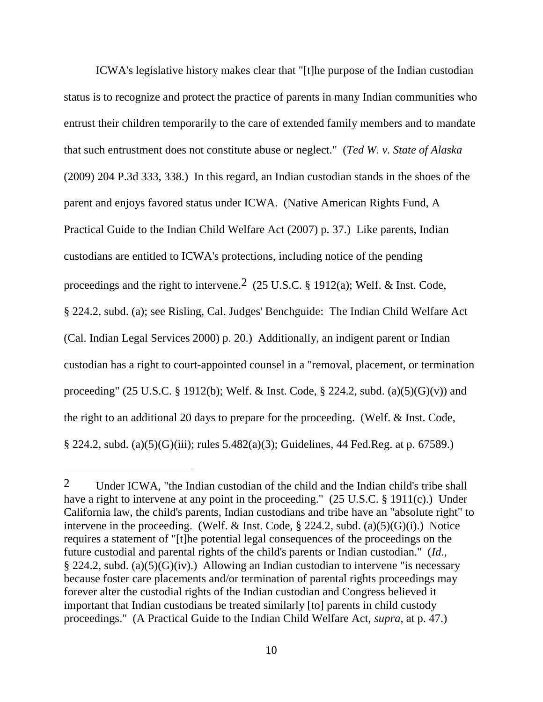ICWA's legislative history makes clear that "[t]he purpose of the Indian custodian status is to recognize and protect the practice of parents in many Indian communities who entrust their children temporarily to the care of extended family members and to mandate that such entrustment does not constitute abuse or neglect." (*Ted W. v. State of Alaska* (2009) 204 P.3d 333, 338.) In this regard, an Indian custodian stands in the shoes of the parent and enjoys favored status under ICWA. (Native American Rights Fund, A Practical Guide to the Indian Child Welfare Act (2007) p. 37.) Like parents, Indian custodians are entitled to ICWA's protections, including notice of the pending proceedings and the right to intervene.<sup>2</sup> (25 U.S.C. § 1912(a); Welf. & Inst. Code, § 224.2, subd. (a); see Risling, Cal. Judges' Benchguide: The Indian Child Welfare Act (Cal. Indian Legal Services 2000) p. 20.) Additionally, an indigent parent or Indian custodian has a right to court-appointed counsel in a "removal, placement, or termination proceeding" (25 U.S.C. § 1912(b); Welf. & Inst. Code, § 224.2, subd. (a)(5)(G)(v)) and the right to an additional 20 days to prepare for the proceeding. (Welf. & Inst. Code, § 224.2, subd. (a)(5)(G)(iii); rules 5.482(a)(3); Guidelines, 44 Fed.Reg. at p. 67589.)

<sup>2</sup> Under ICWA, "the Indian custodian of the child and the Indian child's tribe shall have a right to intervene at any point in the proceeding." (25 U.S.C. § 1911(c).) Under California law, the child's parents, Indian custodians and tribe have an "absolute right" to intervene in the proceeding. (Welf. & Inst. Code,  $\S$  224.2, subd. (a)(5)(G)(i).) Notice requires a statement of "[t]he potential legal consequences of the proceedings on the future custodial and parental rights of the child's parents or Indian custodian." (*Id*.,  $\S$  224.2, subd. (a)(5)(G)(iv).) Allowing an Indian custodian to intervene "is necessary because foster care placements and/or termination of parental rights proceedings may forever alter the custodial rights of the Indian custodian and Congress believed it important that Indian custodians be treated similarly [to] parents in child custody proceedings." (A Practical Guide to the Indian Child Welfare Act, *supra*, at p. 47.)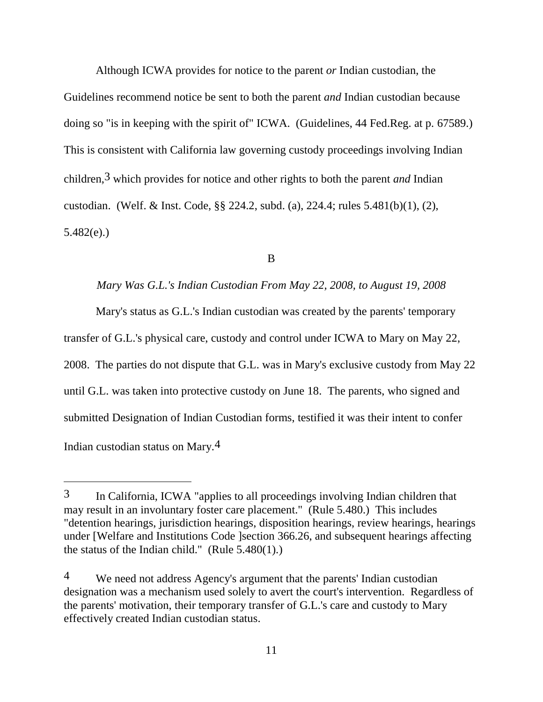Although ICWA provides for notice to the parent *or* Indian custodian, the Guidelines recommend notice be sent to both the parent *and* Indian custodian because doing so "is in keeping with the spirit of" ICWA. (Guidelines, 44 Fed.Reg. at p. 67589.) This is consistent with California law governing custody proceedings involving Indian children,3 which provides for notice and other rights to both the parent *and* Indian custodian. (Welf. & Inst. Code, §§ 224.2, subd. (a), 224.4; rules 5.481(b)(1), (2), 5.482(e).)

### B

# *Mary Was G.L.'s Indian Custodian From May 22, 2008, to August 19, 2008*

Mary's status as G.L.'s Indian custodian was created by the parents' temporary transfer of G.L.'s physical care, custody and control under ICWA to Mary on May 22, 2008. The parties do not dispute that G.L. was in Mary's exclusive custody from May 22 until G.L. was taken into protective custody on June 18. The parents, who signed and submitted Designation of Indian Custodian forms, testified it was their intent to confer Indian custodian status on Mary.4

 $\overline{a}$ 

<sup>3</sup> In California, ICWA "applies to all proceedings involving Indian children that may result in an involuntary foster care placement." (Rule 5.480.) This includes "detention hearings, jurisdiction hearings, disposition hearings, review hearings, hearings under [Welfare and Institutions Code ]section 366.26, and subsequent hearings affecting the status of the Indian child." (Rule  $5.480(1)$ .)

<sup>&</sup>lt;sup>4</sup> We need not address Agency's argument that the parents' Indian custodian designation was a mechanism used solely to avert the court's intervention. Regardless of the parents' motivation, their temporary transfer of G.L.'s care and custody to Mary effectively created Indian custodian status.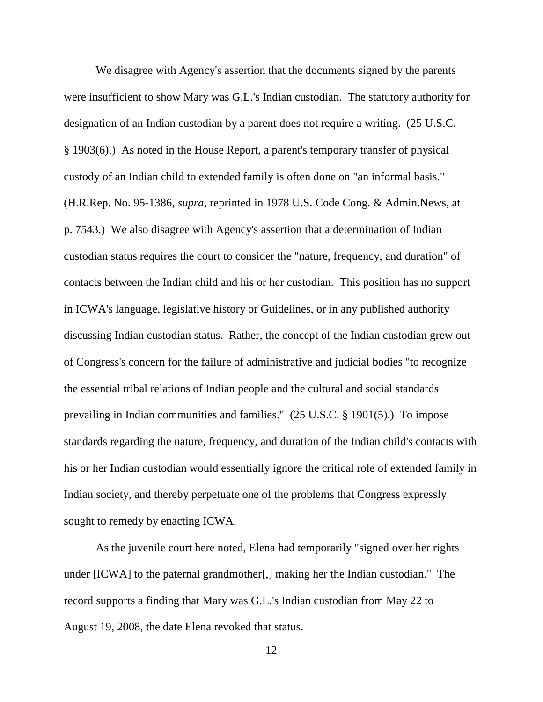We disagree with Agency's assertion that the documents signed by the parents were insufficient to show Mary was G.L.'s Indian custodian. The statutory authority for designation of an Indian custodian by a parent does not require a writing. (25 U.S.C. § 1903(6).) As noted in the House Report, a parent's temporary transfer of physical custody of an Indian child to extended family is often done on "an informal basis." (H.R.Rep. No. 95-1386, *supra*, reprinted in 1978 U.S. Code Cong. & Admin.News, at p. 7543.) We also disagree with Agency's assertion that a determination of Indian custodian status requires the court to consider the "nature, frequency, and duration" of contacts between the Indian child and his or her custodian. This position has no support in ICWA's language, legislative history or Guidelines, or in any published authority discussing Indian custodian status. Rather, the concept of the Indian custodian grew out of Congress's concern for the failure of administrative and judicial bodies "to recognize the essential tribal relations of Indian people and the cultural and social standards prevailing in Indian communities and families." (25 U.S.C. § 1901(5).) To impose standards regarding the nature, frequency, and duration of the Indian child's contacts with his or her Indian custodian would essentially ignore the critical role of extended family in Indian society, and thereby perpetuate one of the problems that Congress expressly sought to remedy by enacting ICWA.

As the juvenile court here noted, Elena had temporarily "signed over her rights under [ICWA] to the paternal grandmother[,] making her the Indian custodian." The record supports a finding that Mary was G.L.'s Indian custodian from May 22 to August 19, 2008, the date Elena revoked that status.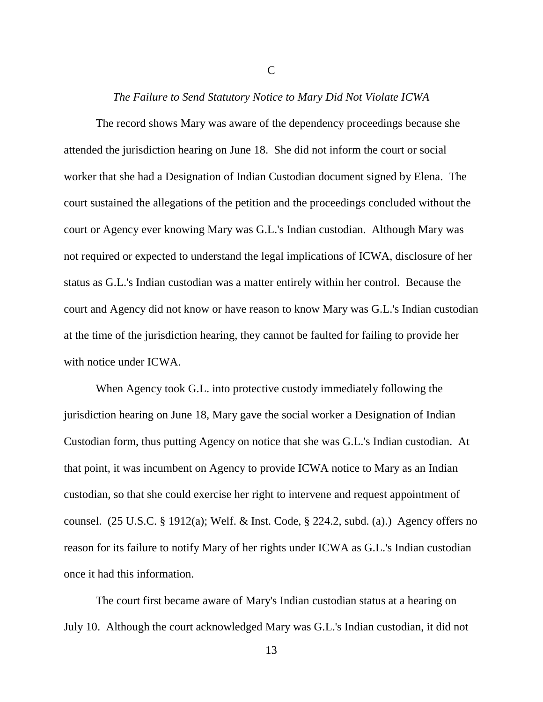### *The Failure to Send Statutory Notice to Mary Did Not Violate ICWA*

The record shows Mary was aware of the dependency proceedings because she attended the jurisdiction hearing on June 18. She did not inform the court or social worker that she had a Designation of Indian Custodian document signed by Elena. The court sustained the allegations of the petition and the proceedings concluded without the court or Agency ever knowing Mary was G.L.'s Indian custodian. Although Mary was not required or expected to understand the legal implications of ICWA, disclosure of her status as G.L.'s Indian custodian was a matter entirely within her control. Because the court and Agency did not know or have reason to know Mary was G.L.'s Indian custodian at the time of the jurisdiction hearing, they cannot be faulted for failing to provide her with notice under ICWA.

When Agency took G.L. into protective custody immediately following the jurisdiction hearing on June 18, Mary gave the social worker a Designation of Indian Custodian form, thus putting Agency on notice that she was G.L.'s Indian custodian. At that point, it was incumbent on Agency to provide ICWA notice to Mary as an Indian custodian, so that she could exercise her right to intervene and request appointment of counsel. (25 U.S.C. § 1912(a); Welf. & Inst. Code, § 224.2, subd. (a).) Agency offers no reason for its failure to notify Mary of her rights under ICWA as G.L.'s Indian custodian once it had this information.

The court first became aware of Mary's Indian custodian status at a hearing on July 10. Although the court acknowledged Mary was G.L.'s Indian custodian, it did not

C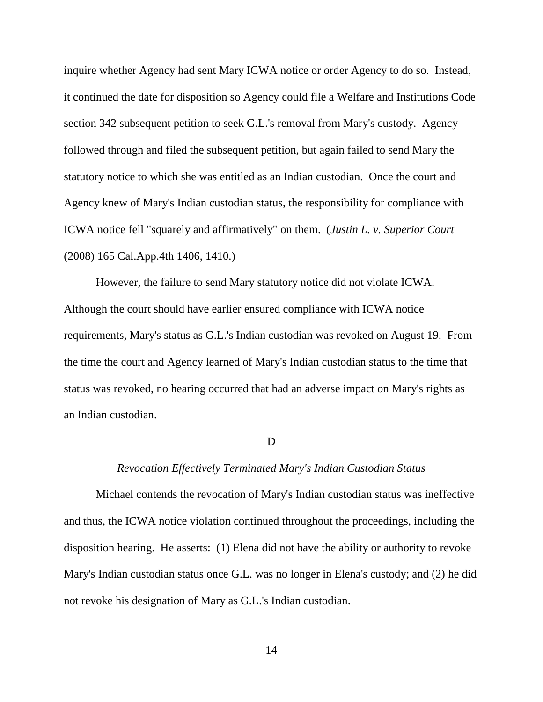inquire whether Agency had sent Mary ICWA notice or order Agency to do so. Instead, it continued the date for disposition so Agency could file a Welfare and Institutions Code section 342 subsequent petition to seek G.L.'s removal from Mary's custody. Agency followed through and filed the subsequent petition, but again failed to send Mary the statutory notice to which she was entitled as an Indian custodian. Once the court and Agency knew of Mary's Indian custodian status, the responsibility for compliance with ICWA notice fell "squarely and affirmatively" on them. (*Justin L. v. Superior Court* (2008) 165 Cal.App.4th 1406, 1410.)

However, the failure to send Mary statutory notice did not violate ICWA. Although the court should have earlier ensured compliance with ICWA notice requirements, Mary's status as G.L.'s Indian custodian was revoked on August 19. From the time the court and Agency learned of Mary's Indian custodian status to the time that status was revoked, no hearing occurred that had an adverse impact on Mary's rights as an Indian custodian.

#### D

# *Revocation Effectively Terminated Mary's Indian Custodian Status*

Michael contends the revocation of Mary's Indian custodian status was ineffective and thus, the ICWA notice violation continued throughout the proceedings, including the disposition hearing. He asserts: (1) Elena did not have the ability or authority to revoke Mary's Indian custodian status once G.L. was no longer in Elena's custody; and (2) he did not revoke his designation of Mary as G.L.'s Indian custodian.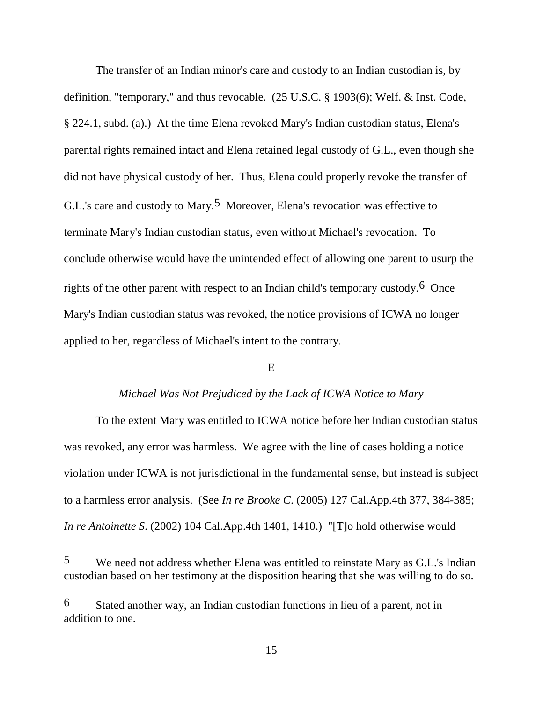The transfer of an Indian minor's care and custody to an Indian custodian is, by definition, "temporary," and thus revocable. (25 U.S.C. § 1903(6); Welf. & Inst. Code, § 224.1, subd. (a).) At the time Elena revoked Mary's Indian custodian status, Elena's parental rights remained intact and Elena retained legal custody of G.L., even though she did not have physical custody of her. Thus, Elena could properly revoke the transfer of G.L.'s care and custody to Mary.5 Moreover, Elena's revocation was effective to terminate Mary's Indian custodian status, even without Michael's revocation. To conclude otherwise would have the unintended effect of allowing one parent to usurp the rights of the other parent with respect to an Indian child's temporary custody.6 Once Mary's Indian custodian status was revoked, the notice provisions of ICWA no longer applied to her, regardless of Michael's intent to the contrary.

### E

# *Michael Was Not Prejudiced by the Lack of ICWA Notice to Mary*

To the extent Mary was entitled to ICWA notice before her Indian custodian status was revoked, any error was harmless. We agree with the line of cases holding a notice violation under ICWA is not jurisdictional in the fundamental sense, but instead is subject to a harmless error analysis. (See *In re Brooke C*. (2005) 127 Cal.App.4th 377, 384-385; *In re Antoinette S*. (2002) 104 Cal.App.4th 1401, 1410.) "[T]o hold otherwise would

<sup>5</sup> We need not address whether Elena was entitled to reinstate Mary as G.L.'s Indian custodian based on her testimony at the disposition hearing that she was willing to do so.

<sup>6</sup> Stated another way, an Indian custodian functions in lieu of a parent, not in addition to one.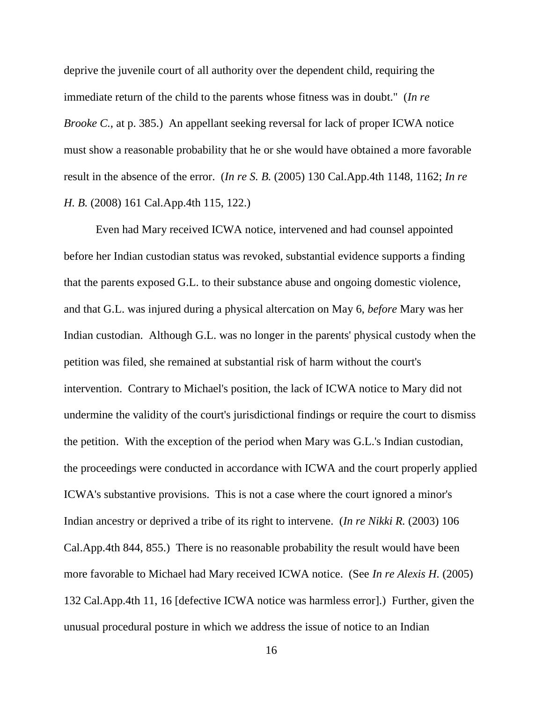deprive the juvenile court of all authority over the dependent child, requiring the immediate return of the child to the parents whose fitness was in doubt." (*In re Brooke C.*, at p. 385.) An appellant seeking reversal for lack of proper ICWA notice must show a reasonable probability that he or she would have obtained a more favorable result in the absence of the error. (*In re S. B.* (2005) 130 Cal.App.4th 1148, 1162; *In re H. B.* (2008) 161 Cal.App.4th 115, 122.)

Even had Mary received ICWA notice, intervened and had counsel appointed before her Indian custodian status was revoked, substantial evidence supports a finding that the parents exposed G.L. to their substance abuse and ongoing domestic violence, and that G.L. was injured during a physical altercation on May 6, *before* Mary was her Indian custodian. Although G.L. was no longer in the parents' physical custody when the petition was filed, she remained at substantial risk of harm without the court's intervention. Contrary to Michael's position, the lack of ICWA notice to Mary did not undermine the validity of the court's jurisdictional findings or require the court to dismiss the petition. With the exception of the period when Mary was G.L.'s Indian custodian, the proceedings were conducted in accordance with ICWA and the court properly applied ICWA's substantive provisions. This is not a case where the court ignored a minor's Indian ancestry or deprived a tribe of its right to intervene. (*In re Nikki R.* (2003) 106 Cal.App.4th 844, 855.) There is no reasonable probability the result would have been more favorable to Michael had Mary received ICWA notice. (See *In re Alexis H.* (2005) 132 Cal.App.4th 11, 16 [defective ICWA notice was harmless error].) Further, given the unusual procedural posture in which we address the issue of notice to an Indian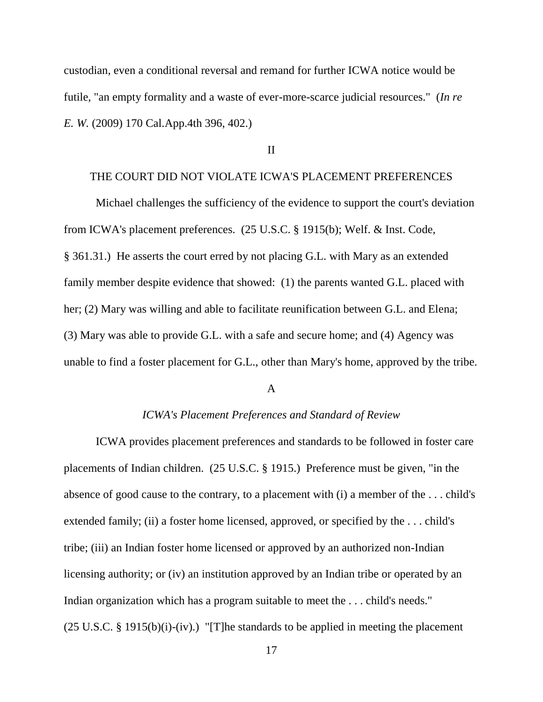custodian, even a conditional reversal and remand for further ICWA notice would be futile, "an empty formality and a waste of ever-more-scarce judicial resources." (*In re E. W.* (2009) 170 Cal.App.4th 396, 402.)

II

### THE COURT DID NOT VIOLATE ICWA'S PLACEMENT PREFERENCES

Michael challenges the sufficiency of the evidence to support the court's deviation from ICWA's placement preferences. (25 U.S.C. § 1915(b); Welf. & Inst. Code, § 361.31.) He asserts the court erred by not placing G.L. with Mary as an extended family member despite evidence that showed: (1) the parents wanted G.L. placed with her; (2) Mary was willing and able to facilitate reunification between G.L. and Elena; (3) Mary was able to provide G.L. with a safe and secure home; and (4) Agency was unable to find a foster placement for G.L., other than Mary's home, approved by the tribe.

### A

### *ICWA's Placement Preferences and Standard of Review*

ICWA provides placement preferences and standards to be followed in foster care placements of Indian children. (25 U.S.C. § 1915.) Preference must be given, "in the absence of good cause to the contrary, to a placement with (i) a member of the . . . child's extended family; (ii) a foster home licensed, approved, or specified by the ... child's tribe; (iii) an Indian foster home licensed or approved by an authorized non-Indian licensing authority; or (iv) an institution approved by an Indian tribe or operated by an Indian organization which has a program suitable to meet the . . . child's needs."  $(25 \text{ U.S.C.} \S 1915(b)(i)-(iv))$  "[T]he standards to be applied in meeting the placement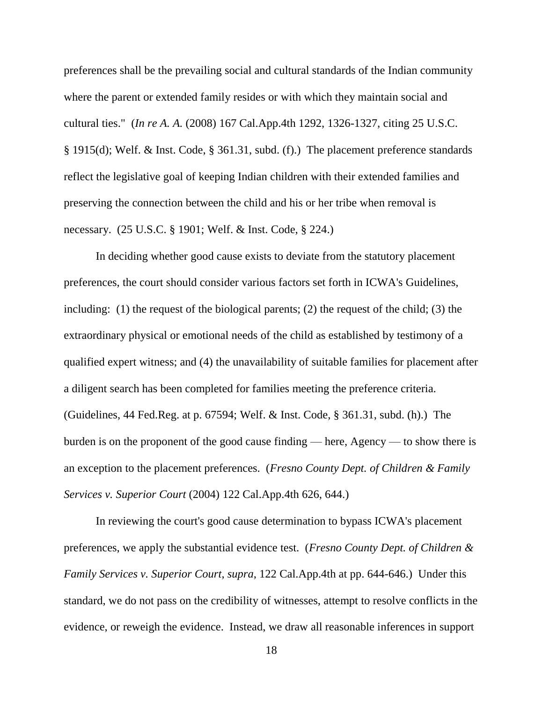preferences shall be the prevailing social and cultural standards of the Indian community where the parent or extended family resides or with which they maintain social and cultural ties." (*In re A. A.* (2008) 167 Cal.App.4th 1292, 1326-1327, citing 25 U.S.C. § 1915(d); Welf. & Inst. Code, § 361.31, subd. (f).) The placement preference standards reflect the legislative goal of keeping Indian children with their extended families and preserving the connection between the child and his or her tribe when removal is necessary. (25 U.S.C. § 1901; Welf. & Inst. Code, § 224.)

In deciding whether good cause exists to deviate from the statutory placement preferences, the court should consider various factors set forth in ICWA's Guidelines, including: (1) the request of the biological parents; (2) the request of the child; (3) the extraordinary physical or emotional needs of the child as established by testimony of a qualified expert witness; and (4) the unavailability of suitable families for placement after a diligent search has been completed for families meeting the preference criteria. (Guidelines, 44 Fed.Reg. at p. 67594; Welf. & Inst. Code, § 361.31, subd. (h).) The burden is on the proponent of the good cause finding — here, Agency — to show there is an exception to the placement preferences. (*Fresno County Dept. of Children & Family Services v. Superior Court* (2004) 122 Cal.App.4th 626, 644.)

In reviewing the court's good cause determination to bypass ICWA's placement preferences, we apply the substantial evidence test. (*Fresno County Dept. of Children & Family Services v. Superior Court*, *supra*, 122 Cal.App.4th at pp. 644-646.) Under this standard, we do not pass on the credibility of witnesses, attempt to resolve conflicts in the evidence, or reweigh the evidence. Instead, we draw all reasonable inferences in support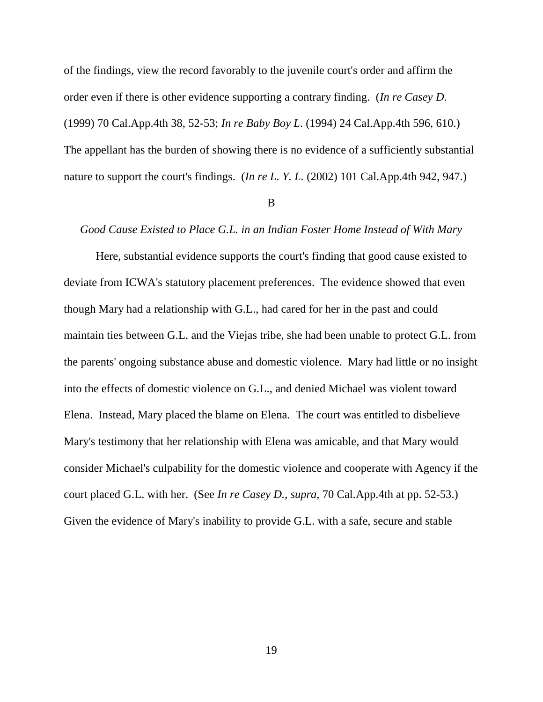of the findings, view the record favorably to the juvenile court's order and affirm the order even if there is other evidence supporting a contrary finding. (*In re Casey D.* (1999) 70 Cal.App.4th 38, 52-53; *In re Baby Boy L*. (1994) 24 Cal.App.4th 596, 610.) The appellant has the burden of showing there is no evidence of a sufficiently substantial nature to support the court's findings. (*In re L. Y. L.* (2002) 101 Cal.App.4th 942, 947.)

### B

### *Good Cause Existed to Place G.L. in an Indian Foster Home Instead of With Mary*

Here, substantial evidence supports the court's finding that good cause existed to deviate from ICWA's statutory placement preferences. The evidence showed that even though Mary had a relationship with G.L., had cared for her in the past and could maintain ties between G.L. and the Viejas tribe, she had been unable to protect G.L. from the parents' ongoing substance abuse and domestic violence. Mary had little or no insight into the effects of domestic violence on G.L., and denied Michael was violent toward Elena. Instead, Mary placed the blame on Elena. The court was entitled to disbelieve Mary's testimony that her relationship with Elena was amicable, and that Mary would consider Michael's culpability for the domestic violence and cooperate with Agency if the court placed G.L. with her. (See *In re Casey D.*, *supra*, 70 Cal.App.4th at pp. 52-53.) Given the evidence of Mary's inability to provide G.L. with a safe, secure and stable